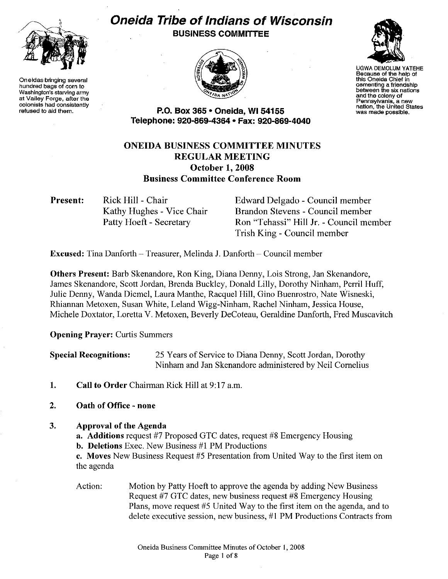

**Oneidas bringing several hundred bags of corn to Washington's starving army at Valley Forge, after the colonists had consistently refused to aid them.** 

# **Oneida Tribe of Indians of Wisconsin BUSINESS COMMITTEE**





UGWA DEMOLUM YATEHE **Because of the help of this Oneida Chief in cementing a friendship between the six nations and the colony of Pennsylvania, a new nation, the United States was made possible.** 

**P.O. Box 365 • Oneida, Wl54155 Telephone: 920-869-4364 • Fax: 920-869-4040** 

# **ONEIDA BUSINESS COMMITTEE MINUTES REGULAR MEETING October 1, 2008 Business Committee Conference Room**

**Present:**  Rick Hill - Chair Kathy Hughes - Vice Chair Patty Hoeft - Secretary

Edward Delgado - Council member Brandon Stevens - Council member Ron "Tehassi" Hill Jr. - Council member Trish King - Council member

**Excused:** Tina Danforth- Treasurer, Melinda J. Danforth- Council member

**Others Present:** Barb Skenandore, Ron King, Diana Denny, Lois Strong, Jan Skenandore, James Skenandore, Scott Jordan, Brenda Buckley, Donald Lilly, Dorothy Ninham, Perri! Huff, Julie Denny, Wanda Diemel, Laura Manthe, Racquel Hill, Gino Buenrostro, Nate Wisneski, Rhiannan Metoxen, Susan White, Leland Wigg-Ninham, Rachel Ninham, Jessica House, Michele Doxtator, Loretta V. Metoxen, Beverly DeCoteau, Geraldine Danforth, Fred Muscavitch

**Opening Prayer: Curtis Summers** 

**Special Recognitions:** 25 Years of Service to Diana Denny, Scott Jordan, Dorothy Ninham and Jan Skenandore administered by Neil Cornelius

- **1. Call to Order** Chairman Rick Hill at 9: 17 a.m.
- **2. Oath of Office - none**

## 3. **Approval of the Agenda**

**a. Additions** request #7 Proposed GTC dates, request #8 Emergency Housing

**b. Deletions** Exec. New Business #1 PM Productions

c. Moves New Business Request #5 Presentation from United Way to the first item on the agenda

Action: Motion by Patty Hoeft to approve the agenda by adding New Business Request #7 GTC dates, new business request #8 Emergency Housing Plans, move request #5 United Way to the first item on the agenda, and to delete executive session, new business, #I PM Productions Contracts from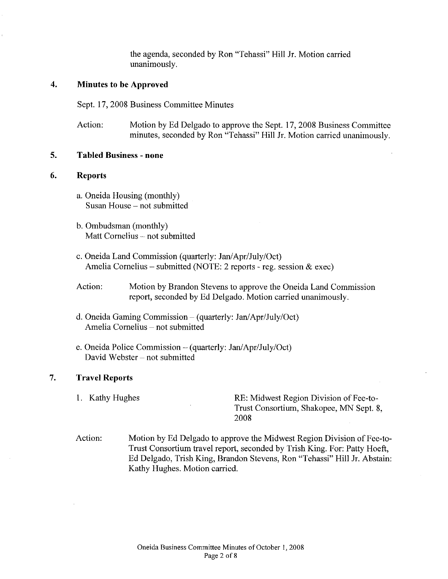the agenda, seconded by Ron "Tehassi" Hill Jr. Motion carried unanimously.

# **4. Minutes to be Approved**

Sept. 17, 2008 Business Committee Minutes

Action: Motion by Ed Delgado to approve the Sept. 17, 2008 Business Committee minutes, seconded by Ron "Tehassi" Hill Jr. Motion carried unanimously.

#### **5. Tabled Business - none**

#### **6. Reports**

- a. Oneida Housing (monthly) Susan House- not submitted
- b. Ombudsman (monthly) Matt Cornelius - not submitted
- c. Oneida Land Commission (quarterly: Jan/ Apr/July/Oct) Amelia Cornelius – submitted (NOTE: 2 reports - reg. session  $\&$  exec)
- Action: Motion by Brandon Stevens to approve the Oneida Land Commission report, seconded by Ed Delgado. Motion carried unanimously.
- d. Oneida Gaming Commission- (quarterly: Jan/Apr/July/Oct) Amelia Cornelius - not submitted
- e. Oneida Police Commission- (quarterly: Jan/Apr/July/Oct) David Webster - not submitted

## 7. **Travel Reports**

1. Kathy Hughes RE: Midwest Region Division of Fee-to-Trust Consortium, Shakopee, MN Sept. 8, 2008

Action: Motion by Ed Delgado to approve the Midwest Region Division of Fee-to-Trust Consortium travel report, seconded by Trish King. For: Patty Hoeft, Ed Delgado, Trish King, Brandon Stevens, Ron "Tehassi" Hill Jr. Abstain: Kathy Hughes. Motion carried.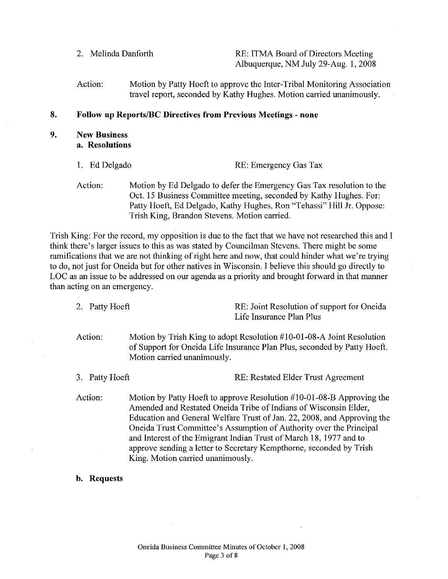2. Melinda Danforth **RE: ITMA Board of Directors Meeting** Albuquerque, NM July 29-Aug. I, 2008

Action: Motion by Patty Hoeft to approve the Inter-Tribal Monitoring Association travel report, seconded by Kathy Hughes. Motion carried unanimously.

#### **8. Follow up Reports/BC Directives from Previous Meetings - none**

- **9. New Business a. Resolutions** 
	- I. Ed Delgado RE: Emergency Gas Tax
	- Action: Motion by Ed Delgado to defer the Emergency Gas Tax resolution to the Oct. 15 Business Committee meeting, seconded by Kathy Hughes. For: Patty Hoeft, Ed Delgado, Kathy Hughes, Ron "Tehassi" Hill Jr. Oppose: Trish King, Brandon Stevens. Motion carried.

Trish King: For the record, my opposition is due to the fact that we have not researched this and I think there's larger issues to this as was stated by Councilman Stevens. There might be some ramifications that we are not thinking of right here and now, that could hinder what we're trying to do, not just for Oneida but for other natives in Wisconsin. I believe this should go directly to LOC as an issue to be addressed on our agenda as a priority and brought forward in that manner than acting on an emergency.

- 2. Patty Hoeft RE: Joint Resolution of support for Oneida Life Insurance Plan Plus
- Action: Motion by Trish King to adopt Resolution #10-01-08-A Joint Resolution of Support for Oneida Life Insurance Plan Plus, seconded by Patty Hoeft. Motion carried unanimously.
- 3. Patty Hoeft **RE: Restated Elder Trust Agreement**
- Action: Motion by Patty Hoeft to approve Resolution #10-01-08-B Approving the Amended and Restated Oneida Tribe of Indians of Wisconsin Elder, Education and General Welfare Trust of Jan. 22, 2008, and Approving the Oneida Trust Committee's Assumption of Authority over the Principal and Interest of the Emigrant Indian Trust of March 18, 1977 and to approve sending a letter to Secretary Kempthorne, seconded by Trish King. Motion carried unanimously.
- **b. Requests**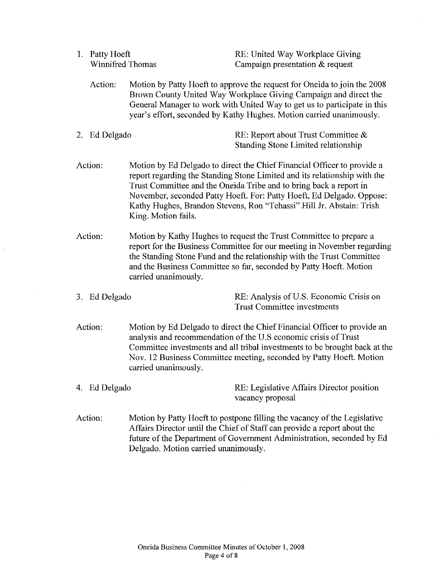| 1. Patty Hoeft   | RE: United Way Workplace Giving   |
|------------------|-----------------------------------|
| Winnifred Thomas | Campaign presentation $&$ request |

- Action: Motion by Patty Hoeft to approve the request for Oneida to join the 2008 Brown County United Way Workplace Giving Campaign and direct the General Manager to work with United Way to get us to participate in this year's effort, seconded by Kathy Hughes. Motion carried unanimously.
- 2. Ed Delgado **RE:** Report about Trust Committee & Standing Stone Limited relationship
- Action: Motion by Ed Delgado to direct the Chief Financial Officer to provide a report regarding the Standing Stone Limited and its relationship with the Trust Committee and the Oneida Tribe and to bring back a report in November, seconded Patty Hoeft. For: Patty Hoeft, Ed Delgado. Oppose: Kathy Hughes, Brandon Stevens, Ron "Tehassi" Hill Jr. Abstain: Trish King. Motion fails.
- Action: Motion by Kathy Hughes to request the Trust Committee to prepare a report for the Business Committee for our meeting in November regarding the Standing Stone Fund and the relationship with the Trust Committee and the Business Committee so far, seconded by Patty Hoeft. Motion carried unanimously.
- 

3. Ed Delgado RE: Analysis of U.S. Economic Crisis on Trust Committee investments

- Action: Motion by Ed Delgado to direct the Chief Financial Officer to provide an analysis and recommendation of the U.S economic crisis of Trust Committee investments and all tribal investments to be brought back at the Nov. 12 Business Committee meeting, seconded by Patty Hoeft. Motion carried unanimously.
- 4. Ed Delgado RE: Legislative Affairs Director position vacancy proposal
- Action: Motion by Patty Hoeft to postpone filling the vacancy of the Legislative Affairs Director until the Chief of Staff can provide a report about the future of the Department of Government Administration, seconded by Ed Delgado. Motion carried unanimously.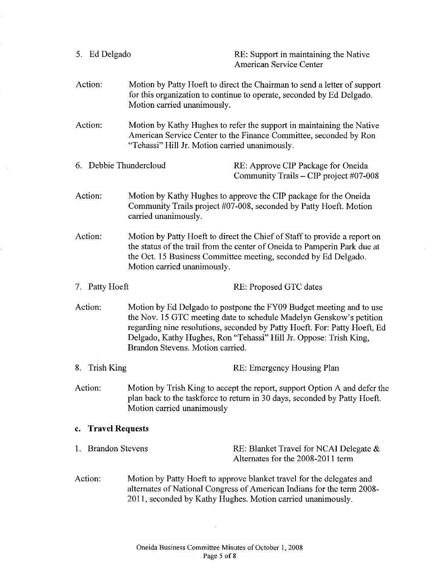| 5. Ed Delgado          |                                                                                                                                                                                      | RE: Support in maintaining the Native<br><b>American Service Center</b>                                                                                                                                                                                                                      |  |
|------------------------|--------------------------------------------------------------------------------------------------------------------------------------------------------------------------------------|----------------------------------------------------------------------------------------------------------------------------------------------------------------------------------------------------------------------------------------------------------------------------------------------|--|
| Action:                | Motion carried unanimously.                                                                                                                                                          | Motion by Patty Hoeft to direct the Chairman to send a letter of support<br>for this organization to continue to operate, seconded by Ed Delgado.                                                                                                                                            |  |
| Action:                | "Tehassi" Hill Jr. Motion carried unanimously.                                                                                                                                       | Motion by Kathy Hughes to refer the support in maintaining the Native<br>American Service Center to the Finance Committee, seconded by Ron                                                                                                                                                   |  |
| 6. Debbie Thundercloud |                                                                                                                                                                                      | RE: Approve CIP Package for Oneida<br>Community Trails – CIP project #07-008                                                                                                                                                                                                                 |  |
| Action:                | carried unanimously.                                                                                                                                                                 | Motion by Kathy Hughes to approve the CIP package for the Oneida<br>Community Trails project #07-008, seconded by Patty Hoeft. Motion                                                                                                                                                        |  |
| Action:                | Motion carried unanimously.                                                                                                                                                          | Motion by Patty Hoeft to direct the Chief of Staff to provide a report on<br>the status of the trail from the center of Oneida to Pamperin Park due at<br>the Oct. 15 Business Committee meeting, seconded by Ed Delgado.                                                                    |  |
| 7. Patty Hoeft         |                                                                                                                                                                                      | RE: Proposed GTC dates                                                                                                                                                                                                                                                                       |  |
| Action:                | Brandon Stevens. Motion carried.                                                                                                                                                     | Motion by Ed Delgado to postpone the FY09 Budget meeting and to use<br>the Nov. 15 GTC meeting date to schedule Madelyn Genskow's petition<br>regarding nine resolutions, seconded by Patty Hoeft. For: Patty Hoeft, Ed<br>Delgado, Kathy Hughes, Ron "Tehassi" Hill Jr. Oppose: Trish King, |  |
| 8. Trish King          |                                                                                                                                                                                      | RE: Emergency Housing Plan                                                                                                                                                                                                                                                                   |  |
| Action:                | Motion by Trish King to accept the report, support Option A and defer the<br>plan back to the taskforce to return in 30 days, seconded by Patty Hoeft.<br>Motion carried unanimously |                                                                                                                                                                                                                                                                                              |  |
|                        | c. Travel Requests                                                                                                                                                                   |                                                                                                                                                                                                                                                                                              |  |
| 1. Brandon Stevens     |                                                                                                                                                                                      | RE: Blanket Travel for NCAI Delegate $\&$<br>Alternates for the 2008-2011 term                                                                                                                                                                                                               |  |
| Action:                |                                                                                                                                                                                      | Motion by Patty Hoeft to approve blanket travel for the delegates and<br>alternates of National Congress of American Indians for the term 2008-<br>2011, seconded by Kathy Hughes. Motion carried unanimously.                                                                               |  |

 $\ddot{\phantom{a}}$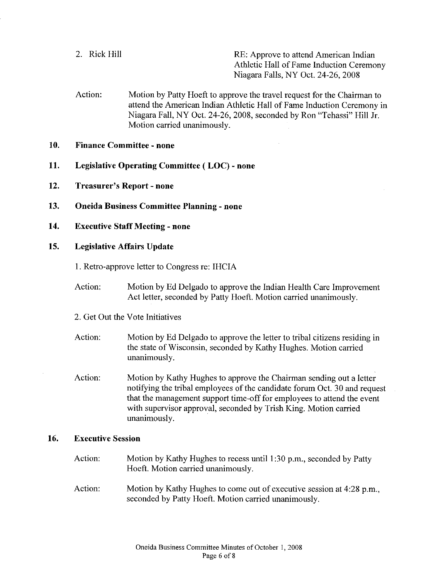2. Rick Hill RE: Approve to attend American Indian Athletic Hall of Fame Induction Ceremony Niagara Falls, NY Oct. 24-26, 2008

- Action: Motion by Patty Hoeft to approve the travel request for the Chairman to attend the American Indian Athletic Hall of Fame Induction Ceremony in Niagara Fall, NY Oct. 24-26, 2008, seconded by Ron "Tehassi" Hill Jr. Motion carried unanimously.
- **10. Finance Committee- none**
- **11. Legislative Operating Committee ( LOC)- none**
- **12. Treasurer's Report- none**
- **13. Oneida Business Committee Planning- none**
- **14. Executive Staff Meeting- none**
- **15. Legislative Affairs Update**

I. Retro-approve letter to Congress re: IHCIA

- Action: Motion by Ed Delgado to approve the Indian Health Care Improvement Act letter, seconded by Patty Hoeft. Motion carried unanimously.
- 2. Get Out the Vote Initiatives
- Action: Motion by Ed Delgado to approve the letter to tribal citizens residing in the state of Wisconsin, seconded by Kathy Hughes. Motion carried unanimously.
- Action: Motion by Kathy Hughes to approve the Chairman sending out a letter notifying the tribal employees of the candidate forum Oct. 30 and request that the management support time-off for employees to attend the event with supervisor approval, seconded by Trish King. Motion carried unanimously.

#### **16. Executive Session**

- Action: Motion by Kathy Hughes to recess until I :30 p.m., seconded by Patty Hoeft. Motion carried unanimously.
- Action: Motion by Kathy Hughes to come out of executive session at 4:28 p.m., seconded by Patty Hoeft. Motion carried unanimously.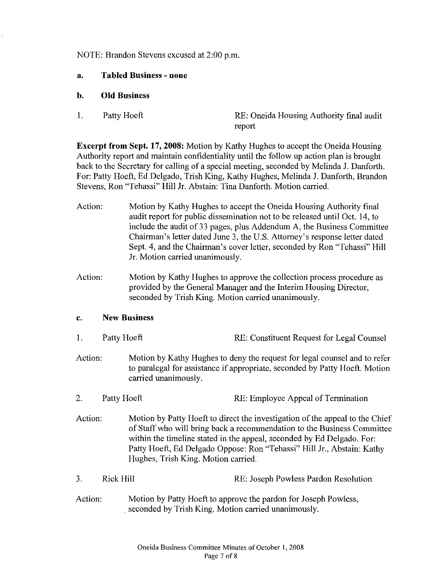NOTE: Brandon Stevens excused at 2:00 p.m.

- **a. Tabled Business - none**
- **b. Old Business**
- 

1. Patty Hoeft RE: Oneida Housing Authority final audit report

**Excerpt from Sept. 17, 2008:** Motion by Kathy Hughes to accept the Oneida Housing Authority report and maintain confidentiality until the follow up action plan is brought back to the Secretary for calling of a special meeting, seconded by Melinda J. Danforth. For: Patty Hoeft, Ed Delgado, Trish King, Kathy Hughes, Melinda J. Danforth, Brandon Stevens, Ron "Tehassi" Hill Jr. Abstain: Tina Danforth. Motion carried.

- Action: Motion by Kathy Hughes to accept the Oneida Housing Authority final audit report for public dissemination not to be released until Oct. 14, to include the audit of 33 pages, plus Addendum A, the Business Committee Chairman's letter dated June 3, the U.S. Attorney's response letter dated Sept. 4, and the Chairman's cover letter, seconded by Ron "Tehassi" Hill Jr. Motion carried unanimously.
- Action: Motion by Kathy Hughes to approve the collection process procedure as provided by the General Manager and the Interim Housing Director, seconded by Trish King. Motion carried unanimously.

#### **c. New Business**

- 1. Patty Hoeft **RE:** Constituent Request for Legal Counsel
- Action: Motion by Kathy Hughes to deny the request for legal counsel and to refer to paralegal for assistance if appropriate, seconded by Patty Hoeft. Motion carried unanimously.
- 2. Patty Hoeft RE: Employee Appeal of Termination
- Action: Motion by Patty Hoeft to direct the investigation of the appeal to the Chief of Staff who will bring back a recommendation to the Business Committee within the timeline stated in the appeal, seconded by Ed Delgado. For: Patty Hoeft, Ed Delgado Oppose: Ron "Tehassi" Hill Jr., Abstain: Kathy Hughes, Trish King. Motion carried.
- 3. Rick Hill Rick Hill RE: Joseph Powless Pardon Resolution
- Action: Motion by Patty Hoeft to approve the pardon for Joseph Powless, . seconded by Trish King. Motion carried unanimously.